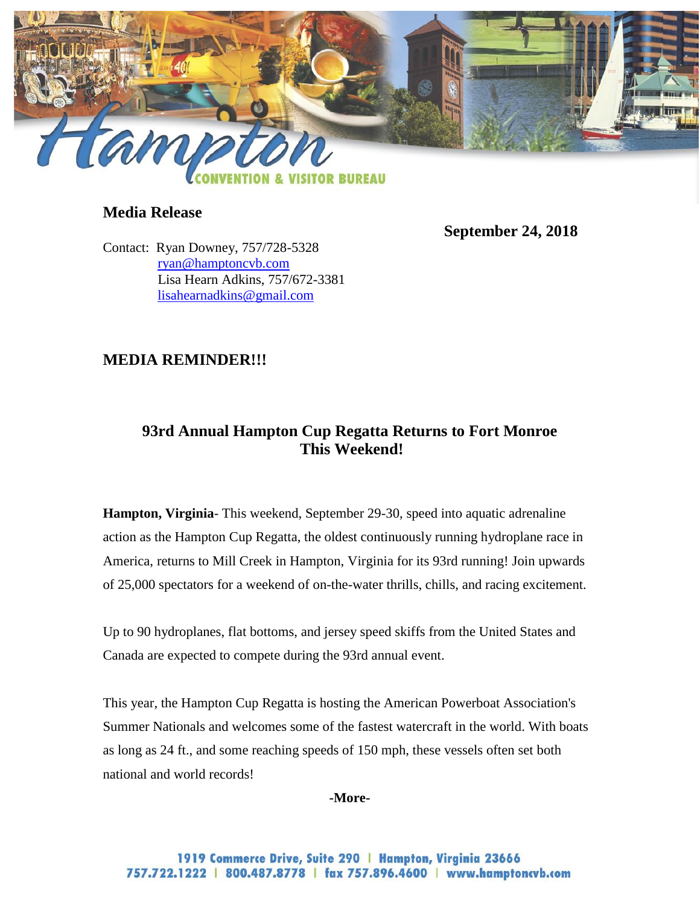

### **Media Release**

 **September 24, 2018**

Contact: Ryan Downey, 757/728-5328 [ryan@hamptoncvb.com](mailto:ryan@hamptoncvb.com) Lisa Hearn Adkins, 757/672-3381 [lisahearnadkins@gmail.com](mailto:lisahearnadkins@gmail.com) 

### **MEDIA REMINDER!!!**

# **93rd Annual Hampton Cup Regatta Returns to Fort Monroe This Weekend!**

**Hampton, Virginia**- This weekend, September 29-30, speed into aquatic adrenaline action as the Hampton Cup Regatta, the oldest continuously running hydroplane race in America, returns to Mill Creek in Hampton, Virginia for its 93rd running! Join upwards of 25,000 spectators for a weekend of on-the-water thrills, chills, and racing excitement.

Up to 90 hydroplanes, flat bottoms, and jersey speed skiffs from the United States and Canada are expected to compete during the 93rd annual event.

This year, the Hampton Cup Regatta is hosting the American Powerboat Association's Summer Nationals and welcomes some of the fastest watercraft in the world. With boats as long as 24 ft., and some reaching speeds of 150 mph, these vessels often set both national and world records!

**-More-**

1919 Commerce Drive, Suite 290 | Hampton, Virginia 23666 757.722.1222 | 800.487.8778 | fax 757.896.4600 | www.hamptoncvb.com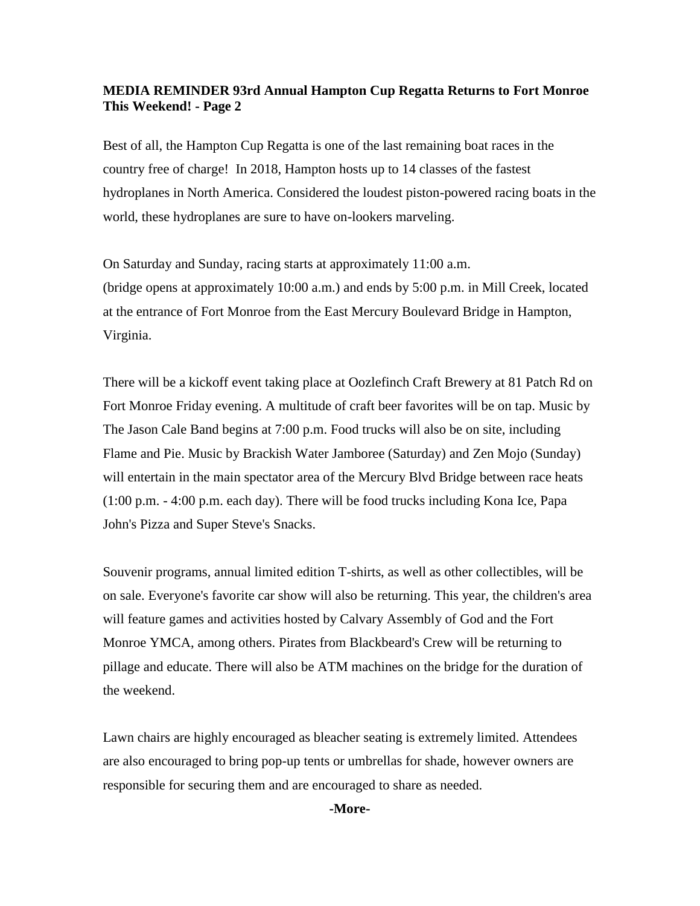#### **MEDIA REMINDER 93rd Annual Hampton Cup Regatta Returns to Fort Monroe This Weekend! - Page 2**

Best of all, the Hampton Cup Regatta is one of the last remaining boat races in the country free of charge! In 2018, Hampton hosts up to 14 classes of the fastest hydroplanes in North America. Considered the loudest piston-powered racing boats in the world, these hydroplanes are sure to have on-lookers marveling.

On Saturday and Sunday, racing starts at approximately 11:00 a.m. (bridge opens at approximately 10:00 a.m.) and ends by 5:00 p.m. in Mill Creek, located at the entrance of Fort Monroe from the East Mercury Boulevard Bridge in Hampton, Virginia.

There will be a kickoff event taking place at Oozlefinch Craft Brewery at 81 Patch Rd on Fort Monroe Friday evening. A multitude of craft beer favorites will be on tap. Music by The Jason Cale Band begins at 7:00 p.m. Food trucks will also be on site, including Flame and Pie. Music by Brackish Water Jamboree (Saturday) and Zen Mojo (Sunday) will entertain in the main spectator area of the Mercury Blvd Bridge between race heats (1:00 p.m. - 4:00 p.m. each day). There will be food trucks including Kona Ice, Papa John's Pizza and Super Steve's Snacks.

Souvenir programs, annual limited edition T-shirts, as well as other collectibles, will be on sale. Everyone's favorite car show will also be returning. This year, the children's area will feature games and activities hosted by Calvary Assembly of God and the Fort Monroe YMCA, among others. Pirates from Blackbeard's Crew will be returning to pillage and educate. There will also be ATM machines on the bridge for the duration of the weekend.

Lawn chairs are highly encouraged as bleacher seating is extremely limited. Attendees are also encouraged to bring pop-up tents or umbrellas for shade, however owners are responsible for securing them and are encouraged to share as needed.

**-More-**